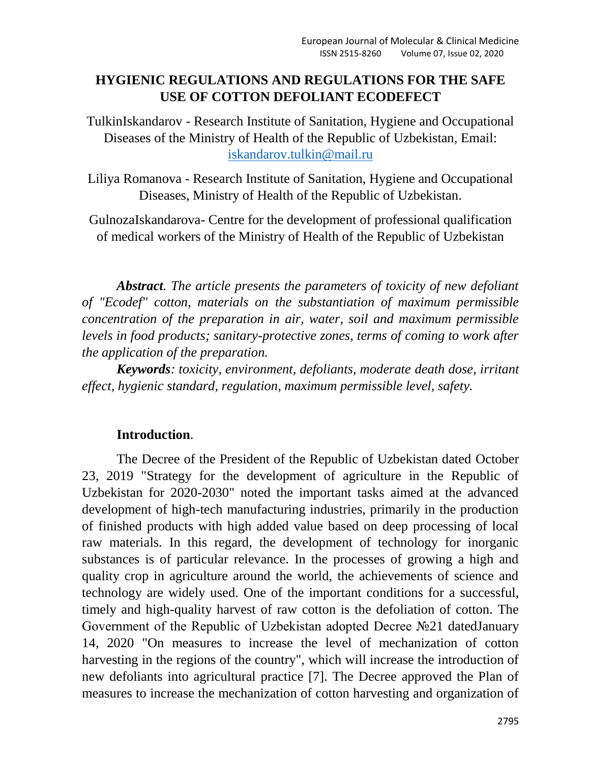## **HYGIENIC REGULATIONS AND REGULATIONS FOR THE SAFE USE OF COTTON DEFOLIANT ECODEFECT**

TulkinIskandarov - Research Institute of Sanitation, Hygiene and Occupational Diseases of the Ministry of Health of the Republic of Uzbekistan, Email: [iskandarov.tulkin@mail.ru](mailto:iskandarov.tulkin@mail.ru)

Liliya Romanova - Research Institute of Sanitation, Hygiene and Occupational Diseases, Ministry of Health of the Republic of Uzbekistan.

GulnozaIskandarova- Centre for the development of professional qualification of medical workers of the Ministry of Health of the Republic of Uzbekistan

*Abstract. The article presents the parameters of toxicity of new defoliant of "Ecodef" cotton, materials on the substantiation of maximum permissible concentration of the preparation in air, water, soil and maximum permissible levels in food products; sanitary-protective zones, terms of coming to work after the application of the preparation.* 

*Keywords: toxicity, environment, defoliants, moderate death dose, irritant effect, hygienic standard, regulation, maximum permissible level, safety.*

## **Introduction**.

The Decree of the President of the Republic of Uzbekistan dated October 23, 2019 "Strategy for the development of agriculture in the Republic of Uzbekistan for 2020-2030" noted the important tasks aimed at the advanced development of high-tech manufacturing industries, primarily in the production of finished products with high added value based on deep processing of local raw materials. In this regard, the development of technology for inorganic substances is of particular relevance. In the processes of growing a high and quality crop in agriculture around the world, the achievements of science and technology are widely used. One of the important conditions for a successful, timely and high-quality harvest of raw cotton is the defoliation of cotton. The Government of the Republic of Uzbekistan adopted Decree №21 datedJanuary 14, 2020 "On measures to increase the level of mechanization of cotton harvesting in the regions of the country", which will increase the introduction of new defoliants into agricultural practice [7]. The Decree approved the Plan of measures to increase the mechanization of cotton harvesting and organization of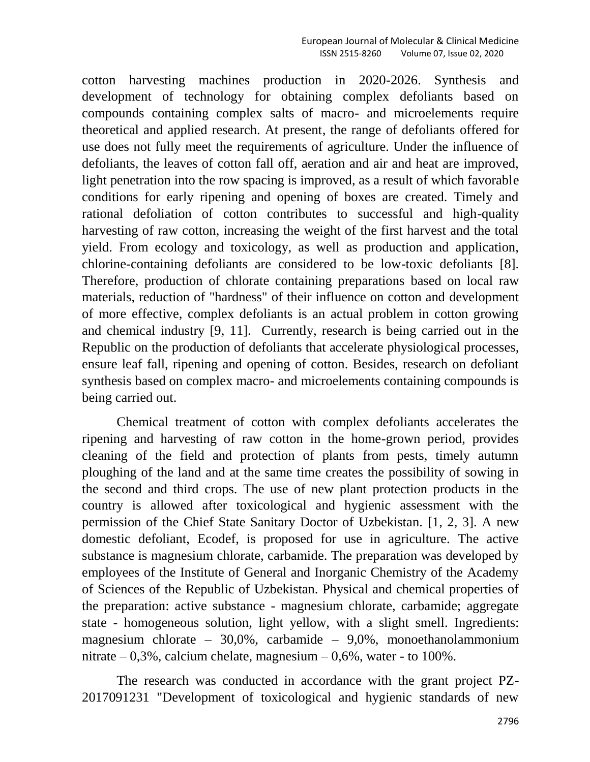cotton harvesting machines production in 2020-2026. Synthesis and development of technology for obtaining complex defoliants based on compounds containing complex salts of macro- and microelements require theoretical and applied research. At present, the range of defoliants offered for use does not fully meet the requirements of agriculture. Under the influence of defoliants, the leaves of cotton fall off, aeration and air and heat are improved, light penetration into the row spacing is improved, as a result of which favorable conditions for early ripening and opening of boxes are created. Timely and rational defoliation of cotton contributes to successful and high-quality harvesting of raw cotton, increasing the weight of the first harvest and the total yield. From ecology and toxicology, as well as production and application, chlorine-containing defoliants are considered to be low-toxic defoliants [8]. Therefore, production of chlorate containing preparations based on local raw materials, reduction of "hardness" of their influence on cotton and development of more effective, complex defoliants is an actual problem in cotton growing and chemical industry [9, 11]. Currently, research is being carried out in the Republic on the production of defoliants that accelerate physiological processes, ensure leaf fall, ripening and opening of cotton. Besides, research on defoliant synthesis based on complex macro- and microelements containing compounds is being carried out.

Chemical treatment of cotton with complex defoliants accelerates the ripening and harvesting of raw cotton in the home-grown period, provides cleaning of the field and protection of plants from pests, timely autumn ploughing of the land and at the same time creates the possibility of sowing in the second and third crops. The use of new plant protection products in the country is allowed after toxicological and hygienic assessment with the permission of the Chief State Sanitary Doctor of Uzbekistan. [1, 2, 3]. A new domestic defoliant, Ecodef, is proposed for use in agriculture. The active substance is magnesium chlorate, carbamide. The preparation was developed by employees of the Institute of General and Inorganic Chemistry of the Academy of Sciences of the Republic of Uzbekistan. Physical and chemical properties of the preparation: active substance - magnesium chlorate, carbamide; aggregate state - homogeneous solution, light yellow, with a slight smell. Ingredients: magnesium chlorate – 30,0%, carbamide – 9,0%, monoethanolammonium nitrate  $-0.3\%$ , calcium chelate, magnesium  $-0.6\%$ , water - to 100%.

The research was conducted in accordance with the grant project PZ-2017091231 "Development of toxicological and hygienic standards of new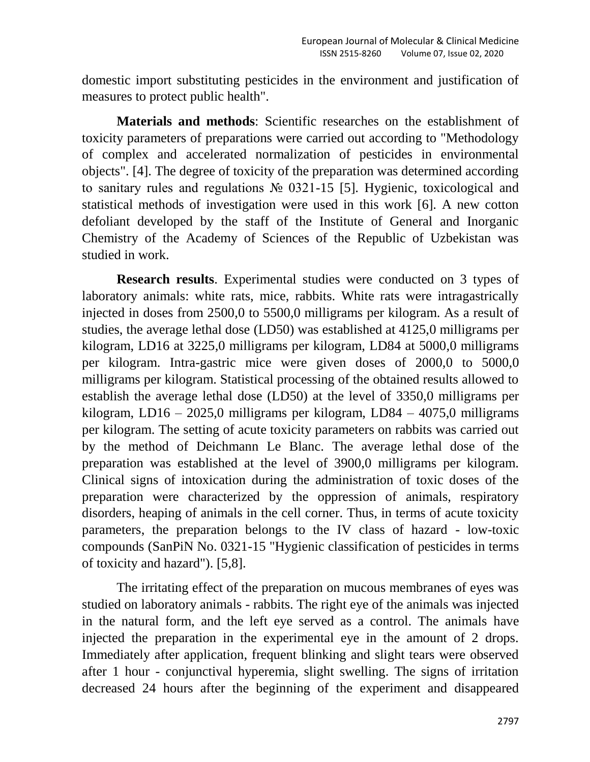domestic import substituting pesticides in the environment and justification of measures to protect public health".

**Materials and methods**: Scientific researches on the establishment of toxicity parameters of preparations were carried out according to "Methodology of complex and accelerated normalization of pesticides in environmental objects". [4]. The degree of toxicity of the preparation was determined according to sanitary rules and regulations № 0321-15 [5]. Hygienic, toxicological and statistical methods of investigation were used in this work [6]. A new cotton defoliant developed by the staff of the Institute of General and Inorganic Chemistry of the Academy of Sciences of the Republic of Uzbekistan was studied in work.

**Research results**. Experimental studies were conducted on 3 types of laboratory animals: white rats, mice, rabbits. White rats were intragastrically injected in doses from 2500,0 to 5500,0 milligrams per kilogram. As a result of studies, the average lethal dose (LD50) was established at 4125,0 milligrams per kilogram, LD16 at 3225,0 milligrams per kilogram, LD84 at 5000,0 milligrams per kilogram. Intra-gastric mice were given doses of 2000,0 to 5000,0 milligrams per kilogram. Statistical processing of the obtained results allowed to establish the average lethal dose (LD50) at the level of 3350,0 milligrams per kilogram, LD16 – 2025,0 milligrams per kilogram, LD84 – 4075,0 milligrams per kilogram. The setting of acute toxicity parameters on rabbits was carried out by the method of Deichmann Le Blanc. The average lethal dose of the preparation was established at the level of 3900,0 milligrams per kilogram. Clinical signs of intoxication during the administration of toxic doses of the preparation were characterized by the oppression of animals, respiratory disorders, heaping of animals in the cell corner. Thus, in terms of acute toxicity parameters, the preparation belongs to the IV class of hazard - low-toxic compounds (SanPiN No. 0321-15 "Hygienic classification of pesticides in terms of toxicity and hazard"). [5,8].

The irritating effect of the preparation on mucous membranes of eyes was studied on laboratory animals - rabbits. The right eye of the animals was injected in the natural form, and the left eye served as a control. The animals have injected the preparation in the experimental eye in the amount of 2 drops. Immediately after application, frequent blinking and slight tears were observed after 1 hour - conjunctival hyperemia, slight swelling. The signs of irritation decreased 24 hours after the beginning of the experiment and disappeared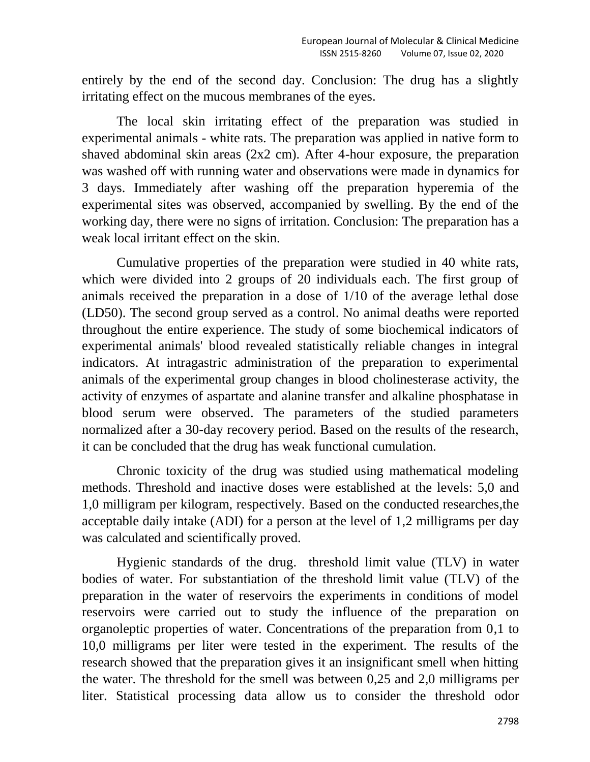entirely by the end of the second day. Conclusion: The drug has a slightly irritating effect on the mucous membranes of the eyes.

The local skin irritating effect of the preparation was studied in experimental animals - white rats. The preparation was applied in native form to shaved abdominal skin areas (2x2 cm). After 4-hour exposure, the preparation was washed off with running water and observations were made in dynamics for 3 days. Immediately after washing off the preparation hyperemia of the experimental sites was observed, accompanied by swelling. By the end of the working day, there were no signs of irritation. Conclusion: The preparation has a weak local irritant effect on the skin.

Cumulative properties of the preparation were studied in 40 white rats, which were divided into 2 groups of 20 individuals each. The first group of animals received the preparation in a dose of 1/10 of the average lethal dose (LD50). The second group served as a control. No animal deaths were reported throughout the entire experience. The study of some biochemical indicators of experimental animals' blood revealed statistically reliable changes in integral indicators. At intragastric administration of the preparation to experimental animals of the experimental group changes in blood cholinesterase activity, the activity of enzymes of aspartate and alanine transfer and alkaline phosphatase in blood serum were observed. The parameters of the studied parameters normalized after a 30-day recovery period. Based on the results of the research, it can be concluded that the drug has weak functional cumulation.

Chronic toxicity of the drug was studied using mathematical modeling methods. Threshold and inactive doses were established at the levels: 5,0 and 1,0 milligram per kilogram, respectively. Based on the conducted researches,the acceptable daily intake (ADI) for a person at the level of 1,2 milligrams per day was calculated and scientifically proved.

Hygienic standards of the drug. threshold limit value (TLV) in water bodies of water. For substantiation of the threshold limit value (TLV) of the preparation in the water of reservoirs the experiments in conditions of model reservoirs were carried out to study the influence of the preparation on organoleptic properties of water. Concentrations of the preparation from 0,1 to 10,0 milligrams per liter were tested in the experiment. The results of the research showed that the preparation gives it an insignificant smell when hitting the water. The threshold for the smell was between 0,25 and 2,0 milligrams per liter. Statistical processing data allow us to consider the threshold odor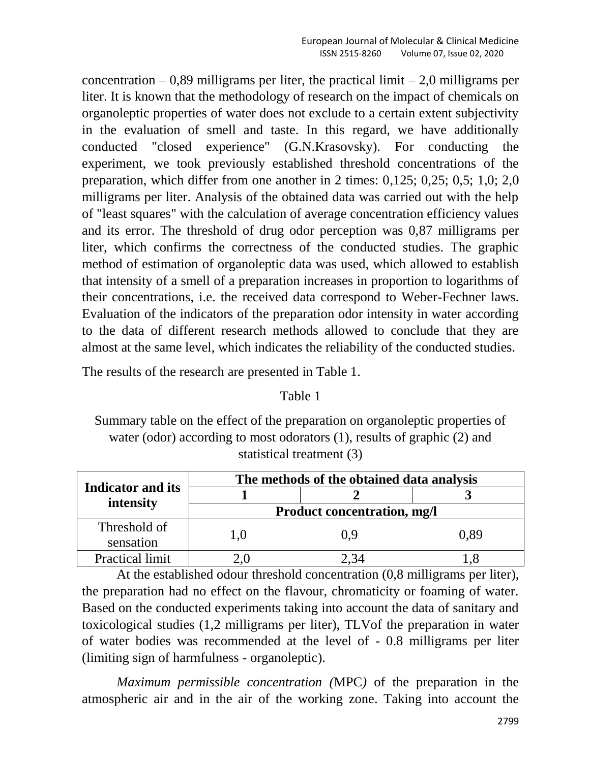concentration  $-0.89$  milligrams per liter, the practical limit  $-2.0$  milligrams per liter. It is known that the methodology of research on the impact of chemicals on organoleptic properties of water does not exclude to a certain extent subjectivity in the evaluation of smell and taste. In this regard, we have additionally conducted "closed experience" (G.N.Krasovsky). For conducting the experiment, we took previously established threshold concentrations of the preparation, which differ from one another in 2 times: 0,125; 0,25; 0,5; 1,0; 2,0 milligrams per liter. Analysis of the obtained data was carried out with the help of "least squares" with the calculation of average concentration efficiency values and its error. The threshold of drug odor perception was 0,87 milligrams per liter, which confirms the correctness of the conducted studies. The graphic method of estimation of organoleptic data was used, which allowed to establish that intensity of a smell of a preparation increases in proportion to logarithms of their concentrations, i.e. the received data correspond to Weber-Fechner laws. Evaluation of the indicators of the preparation odor intensity in water according to the data of different research methods allowed to conclude that they are almost at the same level, which indicates the reliability of the conducted studies.

The results of the research are presented in Table 1.

#### Table 1

Summary table on the effect of the preparation on organoleptic properties of water (odor) according to most odorators (1), results of graphic (2) and statistical treatment (3)

|                           | The methods of the obtained data analysis |      |      |  |
|---------------------------|-------------------------------------------|------|------|--|
| <b>Indicator and its</b>  |                                           |      |      |  |
| intensity                 | <b>Product concentration, mg/l</b>        |      |      |  |
| Threshold of<br>sensation | 1.0                                       | () 9 | 0.89 |  |
| <b>Practical limit</b>    |                                           |      |      |  |

At the established odour threshold concentration (0,8 milligrams per liter), the preparation had no effect on the flavour, chromaticity or foaming of water. Based on the conducted experiments taking into account the data of sanitary and toxicological studies (1,2 milligrams per liter), TLVof the preparation in water of water bodies was recommended at the level of - 0.8 milligrams per liter (limiting sign of harmfulness - organoleptic).

*Maximum permissible concentration (*MPC*)* of the preparation in the atmospheric air and in the air of the working zone. Taking into account the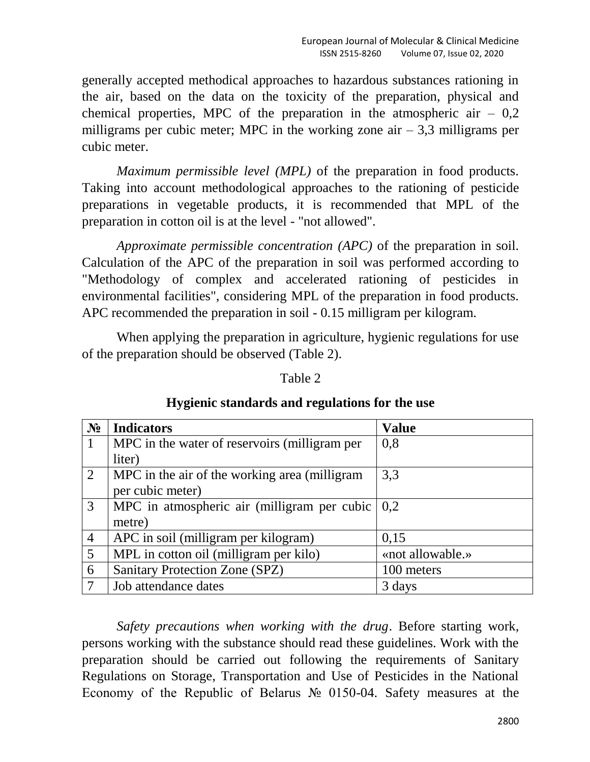generally accepted methodical approaches to hazardous substances rationing in the air, based on the data on the toxicity of the preparation, physical and chemical properties, MPC of the preparation in the atmospheric air  $-0.2$ milligrams per cubic meter; MPC in the working zone air  $-3.3$  milligrams per cubic meter.

*Maximum permissible level (MPL)* of the preparation in food products. Taking into account methodological approaches to the rationing of pesticide preparations in vegetable products, it is recommended that MPL of the preparation in cotton oil is at the level - "not allowed".

*Approximate permissible concentration (APC)* of the preparation in soil. Calculation of the APC of the preparation in soil was performed according to "Methodology of complex and accelerated rationing of pesticides in environmental facilities", considering MPL of the preparation in food products. APC recommended the preparation in soil - 0.15 milligram per kilogram.

When applying the preparation in agriculture, hygienic regulations for use of the preparation should be observed (Table 2).

| $N_2$          | <b>Indicators</b>                                               | <b>Value</b>     |
|----------------|-----------------------------------------------------------------|------------------|
|                | MPC in the water of reservoirs (milligram per                   | 0,8              |
|                | liter)                                                          |                  |
| $\overline{2}$ | MPC in the air of the working area (milligram                   | 3,3              |
|                | per cubic meter)                                                |                  |
| 3              | MPC in atmospheric air (milligram per cubic $\vert 0,2 \rangle$ |                  |
|                | metre)                                                          |                  |
| $\overline{4}$ | APC in soil (milligram per kilogram)                            | 0,15             |
| 5              | MPL in cotton oil (milligram per kilo)                          | «not allowable.» |
| 6              | <b>Sanitary Protection Zone (SPZ)</b>                           | 100 meters       |
|                | Job attendance dates                                            | 3 days           |

## **Hygienic standards and regulations for the use**

Table 2

*Safety precautions when working with the drug*. Before starting work, persons working with the substance should read these guidelines. Work with the preparation should be carried out following the requirements of Sanitary Regulations on Storage, Transportation and Use of Pesticides in the National Economy of the Republic of Belarus № 0150-04. Safety measures at the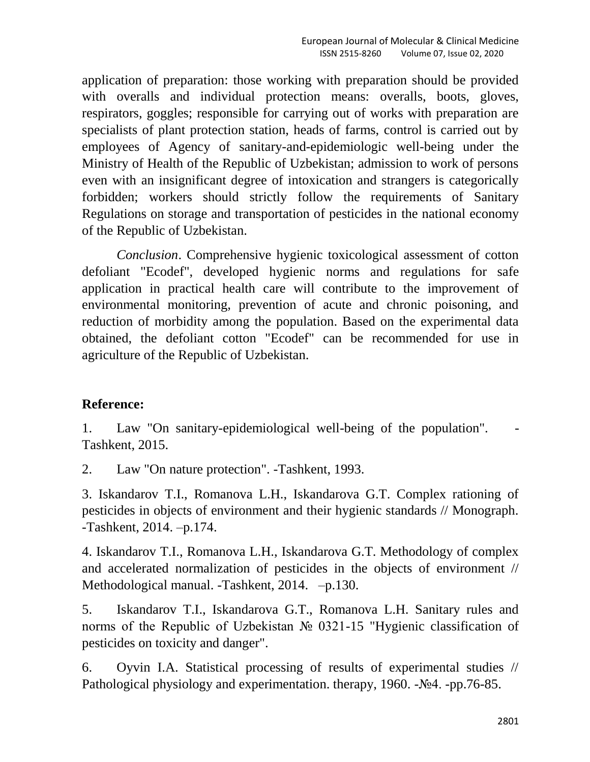application of preparation: those working with preparation should be provided with overalls and individual protection means: overalls, boots, gloves, respirators, goggles; responsible for carrying out of works with preparation are specialists of plant protection station, heads of farms, control is carried out by employees of Agency of sanitary-and-epidemiologic well-being under the Ministry of Health of the Republic of Uzbekistan; admission to work of persons even with an insignificant degree of intoxication and strangers is categorically forbidden; workers should strictly follow the requirements of Sanitary Regulations on storage and transportation of pesticides in the national economy of the Republic of Uzbekistan.

*Conclusion*. Comprehensive hygienic toxicological assessment of cotton defoliant "Ecodef", developed hygienic norms and regulations for safe application in practical health care will contribute to the improvement of environmental monitoring, prevention of acute and chronic poisoning, and reduction of morbidity among the population. Based on the experimental data obtained, the defoliant cotton "Ecodef" can be recommended for use in agriculture of the Republic of Uzbekistan.

# **Reference:**

1. Law "On sanitary-epidemiological well-being of the population". - Tashkent, 2015.

2. Law "On nature protection". -Tashkent, 1993.

3. Iskandarov T.I., Romanova L.H., Iskandarova G.T. Complex rationing of pesticides in objects of environment and their hygienic standards // Monograph. -Tashkent, 2014. –p.174.

4. Iskandarov T.I., Romanova L.H., Iskandarova G.T. Methodology of complex and accelerated normalization of pesticides in the objects of environment // Methodological manual. -Tashkent, 2014. –p.130.

5. Iskandarov T.I., Iskandarova G.T., Romanova L.H. Sanitary rules and norms of the Republic of Uzbekistan № 0321-15 "Hygienic classification of pesticides on toxicity and danger".

6. Oyvin I.A. Statistical processing of results of experimental studies // Pathological physiology and experimentation. therapy, 1960. -№4. -pp.76-85.